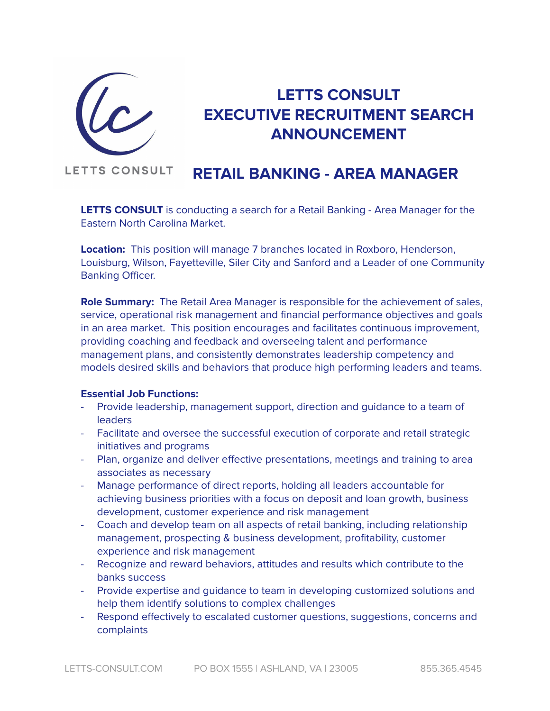

# **LETTS CONSULT EXECUTIVE RECRUITMENT SEARCH ANNOUNCEMENT**

#### **LETTS CONSULT RETAIL BANKING - AREA MANAGER**

**LETTS CONSULT** is conducting a search for a Retail Banking - Area Manager for the Eastern North Carolina Market.

**Location:** This position will manage 7 branches located in Roxboro, Henderson, Louisburg, Wilson, Fayetteville, Siler City and Sanford and a Leader of one Community Banking Officer.

**Role Summary:** The Retail Area Manager is responsible for the achievement of sales, service, operational risk management and financial performance objectives and goals in an area market. This position encourages and facilitates continuous improvement, providing coaching and feedback and overseeing talent and performance management plans, and consistently demonstrates leadership competency and models desired skills and behaviors that produce high performing leaders and teams.

## **Essential Job Functions:**

- Provide leadership, management support, direction and guidance to a team of leaders
- Facilitate and oversee the successful execution of corporate and retail strategic initiatives and programs
- Plan, organize and deliver effective presentations, meetings and training to area associates as necessary
- Manage performance of direct reports, holding all leaders accountable for achieving business priorities with a focus on deposit and loan growth, business development, customer experience and risk management
- Coach and develop team on all aspects of retail banking, including relationship management, prospecting & business development, profitability, customer experience and risk management
- Recognize and reward behaviors, attitudes and results which contribute to the banks success
- Provide expertise and guidance to team in developing customized solutions and help them identify solutions to complex challenges
- Respond effectively to escalated customer questions, suggestions, concerns and complaints